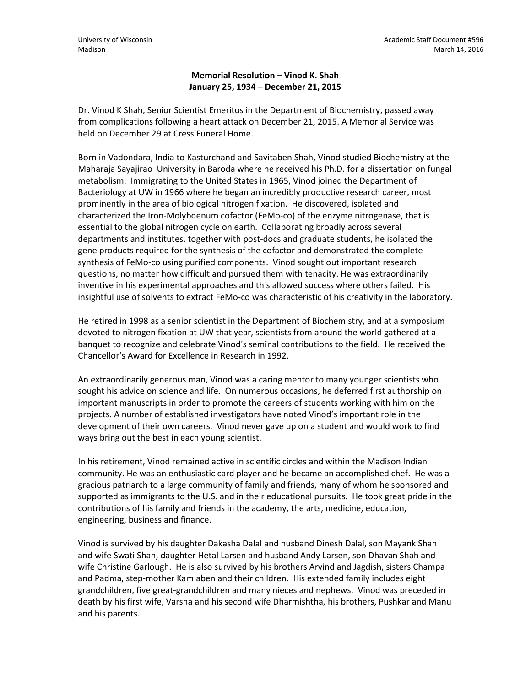## **Memorial Resolution – Vinod K. Shah January 25, 1934 – December 21, 2015**

Dr. Vinod K Shah, Senior Scientist Emeritus in the Department of Biochemistry, passed away from complications following a heart attack on December 21, 2015. A Memorial Service was held on December 29 at Cress Funeral Home.

Born in Vadondara, India to Kasturchand and Savitaben Shah, Vinod studied Biochemistry at the Maharaja Sayajirao University in Baroda where he received his Ph.D. for a dissertation on fungal metabolism. Immigrating to the United States in 1965, Vinod joined the Department of Bacteriology at UW in 1966 where he began an incredibly productive research career, most prominently in the area of biological nitrogen fixation. He discovered, isolated and characterized the Iron-Molybdenum cofactor (FeMo-co) of the enzyme nitrogenase, that is essential to the global nitrogen cycle on earth. Collaborating broadly across several departments and institutes, together with post-docs and graduate students, he isolated the gene products required for the synthesis of the cofactor and demonstrated the complete synthesis of FeMo-co using purified components. Vinod sought out important research questions, no matter how difficult and pursued them with tenacity. He was extraordinarily inventive in his experimental approaches and this allowed success where others failed. His insightful use of solvents to extract FeMo-co was characteristic of his creativity in the laboratory.

He retired in 1998 as a senior scientist in the Department of Biochemistry, and at a symposium devoted to nitrogen fixation at UW that year, scientists from around the world gathered at a banquet to recognize and celebrate Vinod's seminal contributions to the field. He received the Chancellor's Award for Excellence in Research in 1992.

An extraordinarily generous man, Vinod was a caring mentor to many younger scientists who sought his advice on science and life. On numerous occasions, he deferred first authorship on important manuscripts in order to promote the careers of students working with him on the projects. A number of established investigators have noted Vinod's important role in the development of their own careers. Vinod never gave up on a student and would work to find ways bring out the best in each young scientist.

In his retirement, Vinod remained active in scientific circles and within the Madison Indian community. He was an enthusiastic card player and he became an accomplished chef. He was a gracious patriarch to a large community of family and friends, many of whom he sponsored and supported as immigrants to the U.S. and in their educational pursuits. He took great pride in the contributions of his family and friends in the academy, the arts, medicine, education, engineering, business and finance.

Vinod is survived by his daughter Dakasha Dalal and husband Dinesh Dalal, son Mayank Shah and wife Swati Shah, daughter Hetal Larsen and husband Andy Larsen, son Dhavan Shah and wife Christine Garlough. He is also survived by his brothers Arvind and Jagdish, sisters Champa and Padma, step-mother Kamlaben and their children. His extended family includes eight grandchildren, five great-grandchildren and many nieces and nephews. Vinod was preceded in death by his first wife, Varsha and his second wife Dharmishtha, his brothers, Pushkar and Manu and his parents.